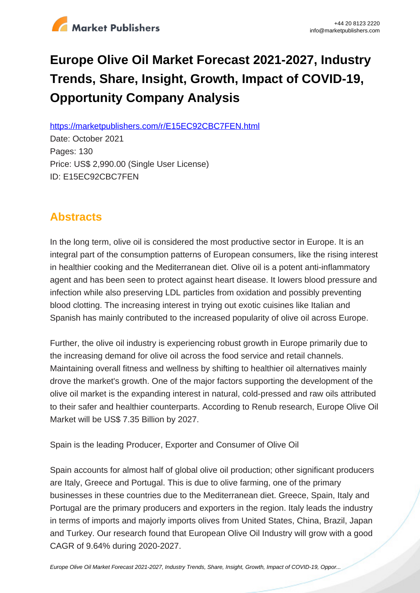

# **Europe Olive Oil Market Forecast 2021-2027, Industry Trends, Share, Insight, Growth, Impact of COVID-19, Opportunity Company Analysis**

https://marketpublishers.com/r/E15EC92CBC7FEN.html

Date: October 2021 Pages: 130 Price: US\$ 2,990.00 (Single User License) ID: E15EC92CBC7FEN

# **Abstracts**

In the long term, olive oil is considered the most productive sector in Europe. It is an integral part of the consumption patterns of European consumers, like the rising interest in healthier cooking and the Mediterranean diet. Olive oil is a potent anti-inflammatory agent and has been seen to protect against heart disease. It lowers blood pressure and infection while also preserving LDL particles from oxidation and possibly preventing blood clotting. The increasing interest in trying out exotic cuisines like Italian and Spanish has mainly contributed to the increased popularity of olive oil across Europe.

Further, the olive oil industry is experiencing robust growth in Europe primarily due to the increasing demand for olive oil across the food service and retail channels. Maintaining overall fitness and wellness by shifting to healthier oil alternatives mainly drove the market's growth. One of the major factors supporting the development of the olive oil market is the expanding interest in natural, cold-pressed and raw oils attributed to their safer and healthier counterparts. According to Renub research, Europe Olive Oil Market will be US\$ 7.35 Billion by 2027.

Spain is the leading Producer, Exporter and Consumer of Olive Oil

Spain accounts for almost half of global olive oil production; other significant producers are Italy, Greece and Portugal. This is due to olive farming, one of the primary businesses in these countries due to the Mediterranean diet. Greece, Spain, Italy and Portugal are the primary producers and exporters in the region. Italy leads the industry in terms of imports and majorly imports olives from United States, China, Brazil, Japan and Turkey. Our research found that European Olive Oil Industry will grow with a good CAGR of 9.64% during 2020-2027.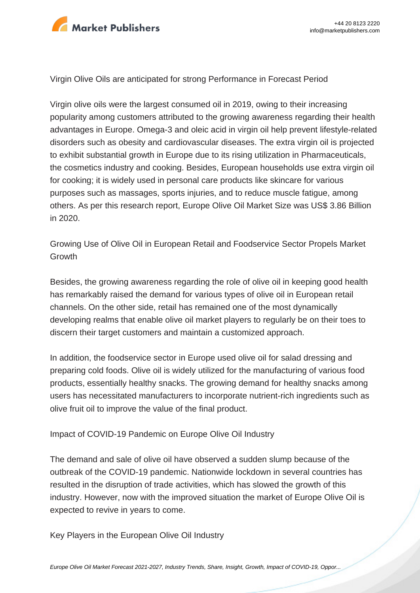

Virgin Olive Oils are anticipated for strong Performance in Forecast Period

Virgin olive oils were the largest consumed oil in 2019, owing to their increasing popularity among customers attributed to the growing awareness regarding their health advantages in Europe. Omega-3 and oleic acid in virgin oil help prevent lifestyle-related disorders such as obesity and cardiovascular diseases. The extra virgin oil is projected to exhibit substantial growth in Europe due to its rising utilization in Pharmaceuticals, the cosmetics industry and cooking. Besides, European households use extra virgin oil for cooking; it is widely used in personal care products like skincare for various purposes such as massages, sports injuries, and to reduce muscle fatigue, among others. As per this research report, Europe Olive Oil Market Size was US\$ 3.86 Billion in 2020.

Growing Use of Olive Oil in European Retail and Foodservice Sector Propels Market Growth

Besides, the growing awareness regarding the role of olive oil in keeping good health has remarkably raised the demand for various types of olive oil in European retail channels. On the other side, retail has remained one of the most dynamically developing realms that enable olive oil market players to regularly be on their toes to discern their target customers and maintain a customized approach.

In addition, the foodservice sector in Europe used olive oil for salad dressing and preparing cold foods. Olive oil is widely utilized for the manufacturing of various food products, essentially healthy snacks. The growing demand for healthy snacks among users has necessitated manufacturers to incorporate nutrient-rich ingredients such as olive fruit oil to improve the value of the final product.

Impact of COVID-19 Pandemic on Europe Olive Oil Industry

The demand and sale of olive oil have observed a sudden slump because of the outbreak of the COVID-19 pandemic. Nationwide lockdown in several countries has resulted in the disruption of trade activities, which has slowed the growth of this industry. However, now with the improved situation the market of Europe Olive Oil is expected to revive in years to come.

Key Players in the European Olive Oil Industry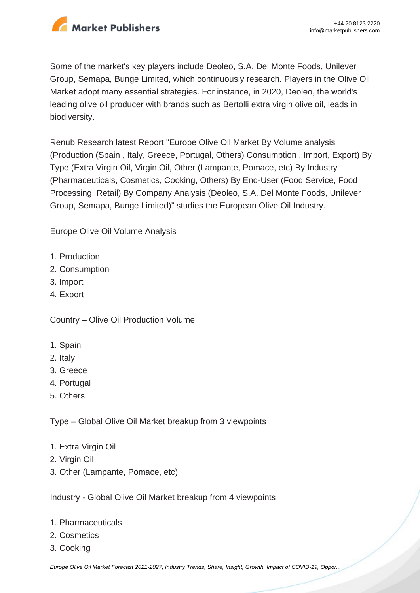

Some of the market's key players include Deoleo, S.A, Del Monte Foods, Unilever Group, Semapa, Bunge Limited, which continuously research. Players in the Olive Oil Market adopt many essential strategies. For instance, in 2020, Deoleo, the world's leading olive oil producer with brands such as Bertolli extra virgin olive oil, leads in biodiversity.

Renub Research latest Report "Europe Olive Oil Market By Volume analysis (Production (Spain , Italy, Greece, Portugal, Others) Consumption , Import, Export) By Type (Extra Virgin Oil, Virgin Oil, Other (Lampante, Pomace, etc) By Industry (Pharmaceuticals, Cosmetics, Cooking, Others) By End-User (Food Service, Food Processing, Retail) By Company Analysis (Deoleo, S.A, Del Monte Foods, Unilever Group, Semapa, Bunge Limited)" studies the European Olive Oil Industry.

Europe Olive Oil Volume Analysis

- 1. Production
- 2. Consumption
- 3. Import
- 4. Export

Country – Olive Oil Production Volume

- 1. Spain
- 2. Italy
- 3. Greece
- 4. Portugal
- 5. Others

Type – Global Olive Oil Market breakup from 3 viewpoints

- 1. Extra Virgin Oil
- 2. Virgin Oil
- 3. Other (Lampante, Pomace, etc)

Industry - Global Olive Oil Market breakup from 4 viewpoints

- 1. Pharmaceuticals
- 2. Cosmetics
- 3. Cooking

[Europe Olive Oil Market Forecast 2021-2027, Industry Trends, Share, Insight, Growth, Impact of COVID-19, Oppor...](https://marketpublishers.com/report/other_food_products/europe-olive-oil-market-forecast-2021-2027-industry-trends-share-insight-growth-impact-of-covid-19-opportunity-company-analysis.html)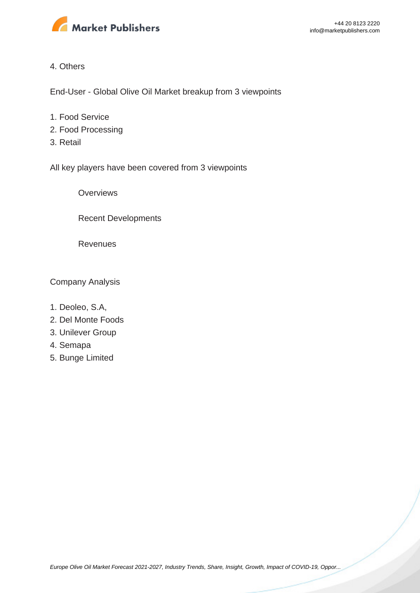

#### 4. Others

End-User - Global Olive Oil Market breakup from 3 viewpoints

- 1. Food Service
- 2. Food Processing
- 3. Retail

All key players have been covered from 3 viewpoints

**Overviews** 

Recent Developments

Revenues

Company Analysis

- 1. Deoleo, S.A,
- 2. Del Monte Foods
- 3. Unilever Group
- 4. Semapa
- 5. Bunge Limited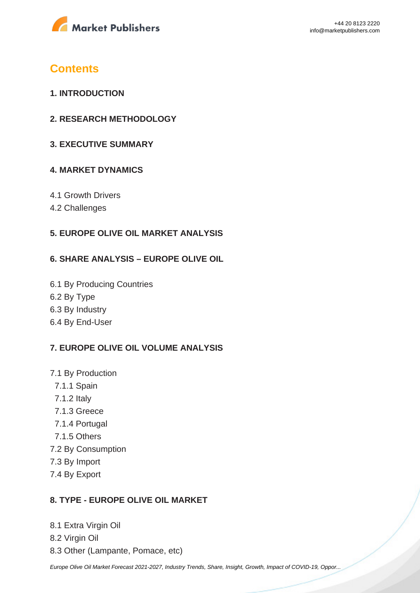

# **Contents**

- **1. INTRODUCTION**
- **2. RESEARCH METHODOLOGY**
- **3. EXECUTIVE SUMMARY**

### **4. MARKET DYNAMICS**

- 4.1 Growth Drivers
- 4.2 Challenges

### **5. EUROPE OLIVE OIL MARKET ANALYSIS**

#### **6. SHARE ANALYSIS – EUROPE OLIVE OIL**

6.1 By Producing Countries 6.2 By Type 6.3 By Industry 6.4 By End-User

### **7. EUROPE OLIVE OIL VOLUME ANALYSIS**

- 7.1 By Production
	- 7.1.1 Spain
	- 7.1.2 Italy
	- 7.1.3 Greece
	- 7.1.4 Portugal
	- 7.1.5 Others
- 7.2 By Consumption
- 7.3 By Import
- 7.4 By Export

#### **8. TYPE - EUROPE OLIVE OIL MARKET**

8.1 Extra Virgin Oil 8.2 Virgin Oil 8.3 Other (Lampante, Pomace, etc)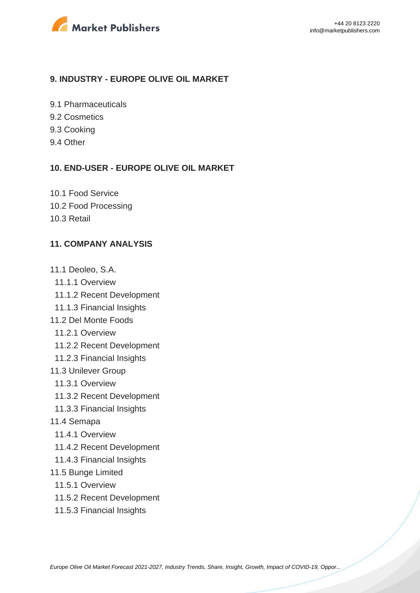

#### **9. INDUSTRY - EUROPE OLIVE OIL MARKET**

9.1 Pharmaceuticals

- 9.2 Cosmetics
- 9.3 Cooking
- 9.4 Other

#### **10. END-USER - EUROPE OLIVE OIL MARKET**

10.1 Food Service 10.2 Food Processing 10.3 Retail

#### **11. COMPANY ANALYSIS**

- 11.1 Deoleo, S.A.
- 11.1.1 Overview
- 11.1.2 Recent Development
- 11.1.3 Financial Insights
- 11.2 Del Monte Foods
	- 11.2.1 Overview
	- 11.2.2 Recent Development
- 11.2.3 Financial Insights
- 11.3 Unilever Group
	- 11.3.1 Overview
	- 11.3.2 Recent Development
- 11.3.3 Financial Insights
- 11.4 Semapa
	- 11.4.1 Overview
	- 11.4.2 Recent Development
- 11.4.3 Financial Insights
- 11.5 Bunge Limited
- 11.5.1 Overview
- 11.5.2 Recent Development
- 11.5.3 Financial Insights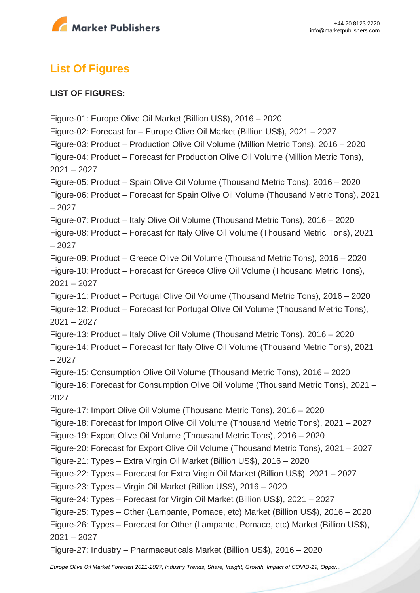

# **List Of Figures**

### **LIST OF FIGURES:**

Figure-01: Europe Olive Oil Market (Billion US\$), 2016 – 2020 Figure-02: Forecast for – Europe Olive Oil Market (Billion US\$), 2021 – 2027 Figure-03: Product – Production Olive Oil Volume (Million Metric Tons), 2016 – 2020 Figure-04: Product – Forecast for Production Olive Oil Volume (Million Metric Tons), 2021 – 2027 Figure-05: Product – Spain Olive Oil Volume (Thousand Metric Tons), 2016 – 2020 Figure-06: Product – Forecast for Spain Olive Oil Volume (Thousand Metric Tons), 2021 – 2027 Figure-07: Product – Italy Olive Oil Volume (Thousand Metric Tons), 2016 – 2020 Figure-08: Product – Forecast for Italy Olive Oil Volume (Thousand Metric Tons), 2021 – 2027 Figure-09: Product – Greece Olive Oil Volume (Thousand Metric Tons), 2016 – 2020 Figure-10: Product – Forecast for Greece Olive Oil Volume (Thousand Metric Tons), 2021 – 2027 Figure-11: Product – Portugal Olive Oil Volume (Thousand Metric Tons), 2016 – 2020 Figure-12: Product – Forecast for Portugal Olive Oil Volume (Thousand Metric Tons), 2021 – 2027 Figure-13: Product – Italy Olive Oil Volume (Thousand Metric Tons), 2016 – 2020 Figure-14: Product – Forecast for Italy Olive Oil Volume (Thousand Metric Tons), 2021 – 2027 Figure-15: Consumption Olive Oil Volume (Thousand Metric Tons), 2016 – 2020 Figure-16: Forecast for Consumption Olive Oil Volume (Thousand Metric Tons), 2021 – 2027 Figure-17: Import Olive Oil Volume (Thousand Metric Tons), 2016 – 2020 Figure-18: Forecast for Import Olive Oil Volume (Thousand Metric Tons), 2021 – 2027 Figure-19: Export Olive Oil Volume (Thousand Metric Tons), 2016 – 2020 Figure-20: Forecast for Export Olive Oil Volume (Thousand Metric Tons), 2021 – 2027 Figure-21: Types – Extra Virgin Oil Market (Billion US\$), 2016 – 2020 Figure-22: Types – Forecast for Extra Virgin Oil Market (Billion US\$), 2021 – 2027 Figure-23: Types – Virgin Oil Market (Billion US\$), 2016 – 2020 Figure-24: Types – Forecast for Virgin Oil Market (Billion US\$), 2021 – 2027 Figure-25: Types – Other (Lampante, Pomace, etc) Market (Billion US\$), 2016 – 2020 Figure-26: Types – Forecast for Other (Lampante, Pomace, etc) Market (Billion US\$), 2021 – 2027 Figure-27: Industry – Pharmaceuticals Market (Billion US\$), 2016 – 2020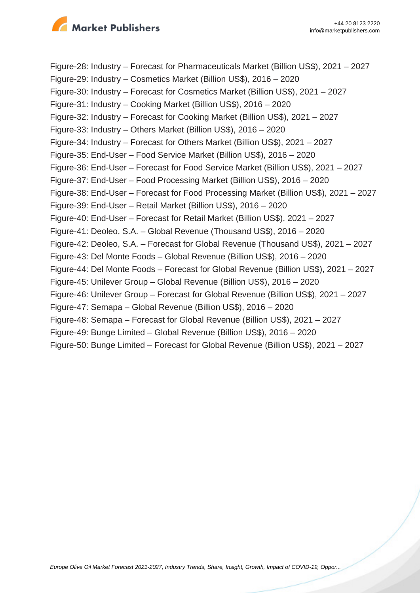

Figure-28: Industry – Forecast for Pharmaceuticals Market (Billion US\$), 2021 – 2027 Figure-29: Industry – Cosmetics Market (Billion US\$), 2016 – 2020 Figure-30: Industry – Forecast for Cosmetics Market (Billion US\$), 2021 – 2027 Figure-31: Industry – Cooking Market (Billion US\$), 2016 – 2020 Figure-32: Industry – Forecast for Cooking Market (Billion US\$), 2021 – 2027 Figure-33: Industry – Others Market (Billion US\$), 2016 – 2020 Figure-34: Industry – Forecast for Others Market (Billion US\$), 2021 – 2027 Figure-35: End-User – Food Service Market (Billion US\$), 2016 – 2020 Figure-36: End-User – Forecast for Food Service Market (Billion US\$), 2021 – 2027 Figure-37: End-User – Food Processing Market (Billion US\$), 2016 – 2020 Figure-38: End-User – Forecast for Food Processing Market (Billion US\$), 2021 – 2027 Figure-39: End-User – Retail Market (Billion US\$), 2016 – 2020 Figure-40: End-User – Forecast for Retail Market (Billion US\$), 2021 – 2027 Figure-41: Deoleo, S.A. – Global Revenue (Thousand US\$), 2016 – 2020 Figure-42: Deoleo, S.A. – Forecast for Global Revenue (Thousand US\$), 2021 – 2027 Figure-43: Del Monte Foods – Global Revenue (Billion US\$), 2016 – 2020 Figure-44: Del Monte Foods – Forecast for Global Revenue (Billion US\$), 2021 – 2027 Figure-45: Unilever Group – Global Revenue (Billion US\$), 2016 – 2020 Figure-46: Unilever Group – Forecast for Global Revenue (Billion US\$), 2021 – 2027 Figure-47: Semapa – Global Revenue (Billion US\$), 2016 – 2020 Figure-48: Semapa – Forecast for Global Revenue (Billion US\$), 2021 – 2027 Figure-49: Bunge Limited – Global Revenue (Billion US\$), 2016 – 2020 Figure-50: Bunge Limited – Forecast for Global Revenue (Billion US\$), 2021 – 2027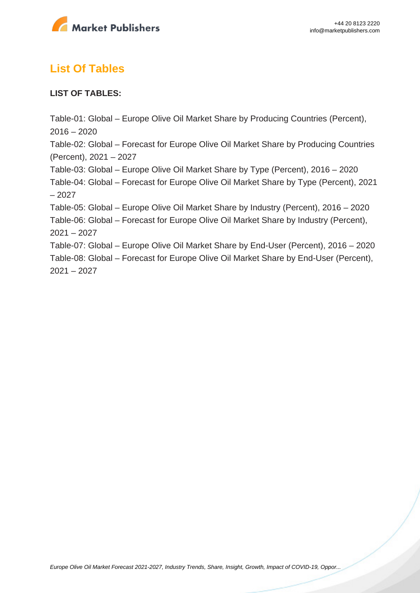

# **List Of Tables**

### **LIST OF TABLES:**

Table-01: Global – Europe Olive Oil Market Share by Producing Countries (Percent),  $2016 - 2020$ Table-02: Global – Forecast for Europe Olive Oil Market Share by Producing Countries (Percent), 2021 – 2027 Table-03: Global – Europe Olive Oil Market Share by Type (Percent), 2016 – 2020 Table-04: Global – Forecast for Europe Olive Oil Market Share by Type (Percent), 2021 – 2027 Table-05: Global – Europe Olive Oil Market Share by Industry (Percent), 2016 – 2020 Table-06: Global – Forecast for Europe Olive Oil Market Share by Industry (Percent), 2021 – 2027 Table-07: Global – Europe Olive Oil Market Share by End-User (Percent), 2016 – 2020 Table-08: Global – Forecast for Europe Olive Oil Market Share by End-User (Percent), 2021 – 2027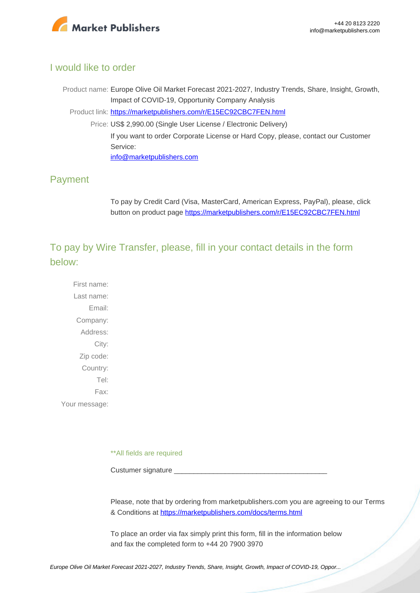

### I would like to order

Product name: Europe Olive Oil Market Forecast 2021-2027, Industry Trends, Share, Insight, Growth, Impact of COVID-19, Opportunity Company Analysis Product link: [https://marketpublishers.com/r/E15EC92CBC7FEN.html](https://marketpublishers.com/report/other_food_products/europe-olive-oil-market-forecast-2021-2027-industry-trends-share-insight-growth-impact-of-covid-19-opportunity-company-analysis.html) Price: US\$ 2,990.00 (Single User License / Electronic Delivery) If you want to order Corporate License or Hard Copy, please, contact our Customer Service: [info@marketpublishers.com](mailto:info@marketpublishers.com)

## Payment

To pay by Credit Card (Visa, MasterCard, American Express, PayPal), please, click button on product page [https://marketpublishers.com/r/E15EC92CBC7FEN.html](https://marketpublishers.com/report/other_food_products/europe-olive-oil-market-forecast-2021-2027-industry-trends-share-insight-growth-impact-of-covid-19-opportunity-company-analysis.html)

To pay by Wire Transfer, please, fill in your contact details in the form below:

First name: Last name: Email: Company: Address: City: Zip code: Country: Tel: Fax: Your message:

\*\*All fields are required

Custumer signature

Please, note that by ordering from marketpublishers.com you are agreeing to our Terms & Conditions at<https://marketpublishers.com/docs/terms.html>

To place an order via fax simply print this form, fill in the information below and fax the completed form to +44 20 7900 3970